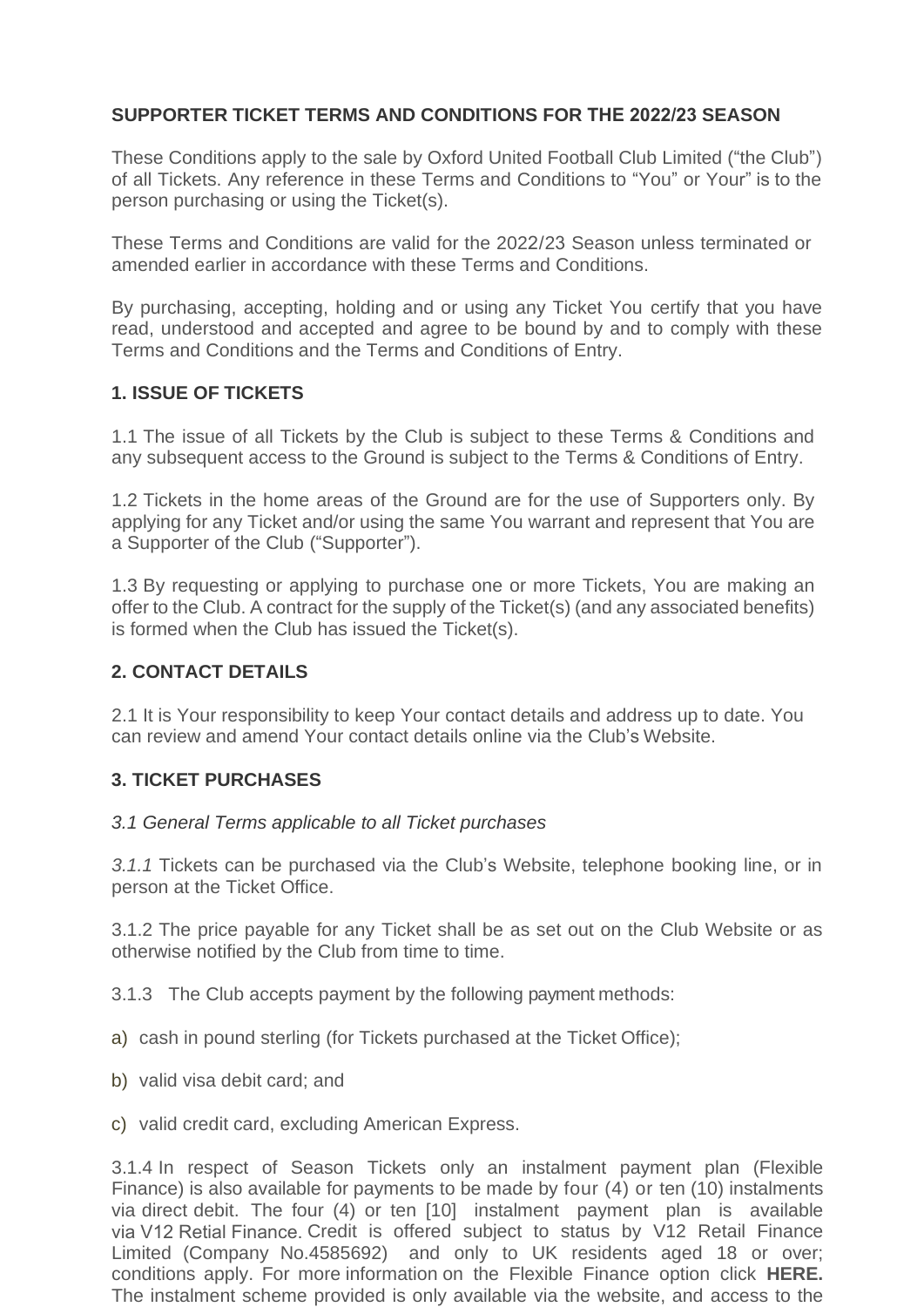# **SUPPORTER TICKET TERMS AND CONDITIONS FOR THE 2022/23 SEASON**

These Conditions apply to the sale by Oxford United Football Club Limited ("the Club") of all Tickets. Any reference in these Terms and Conditions to "You" or Your" is to the person purchasing or using the Ticket(s).

These Terms and Conditions are valid for the 2022/23 Season unless terminated or amended earlier in accordance with these Terms and Conditions.

By purchasing, accepting, holding and or using any Ticket You certify that you have read, understood and accepted and agree to be bound by and to comply with these Terms and Conditions and the Terms and Conditions of Entry.

### **1. ISSUE OF TICKETS**

1.1 The issue of all Tickets by the Club is subject to these Terms & Conditions and any subsequent access to the Ground is subject to the Terms & Conditions of Entry.

1.2 Tickets in the home areas of the Ground are for the use of Supporters only. By applying for any Ticket and/or using the same You warrant and represent that You are a Supporter of the Club ("Supporter").

1.3 By requesting or applying to purchase one or more Tickets, You are making an offer to the Club. A contract for the supply of the Ticket(s) (and any associated benefits) is formed when the Club has issued the Ticket(s).

# **2. CONTACT DETAILS**

2.1 It is Your responsibility to keep Your contact details and address up to date. You can review and amend Your contact details online via the Club's Website.

# **3. TICKET PURCHASES**

#### *3.1 General Terms applicable to all Ticket purchases*

*3.1.1* Tickets can be purchased via the Club's Website, telephone booking line, or in person at the Ticket Office.

3.1.2 The price payable for any Ticket shall be as set out on the Club Website or as otherwise notified by the Club from time to time.

3.1.3 The Club accepts payment by the following payment methods:

- a) cash in pound sterling (for Tickets purchased at the Ticket Office);
- b) valid visa debit card; and

c) valid credit card, excluding American Express.

conditions apply. For more information on the Flexible Finance option click HERE. The instalment scheme provided is only available via the website, and access to the 3.1.4 In respect of Season Tickets only an instalment payment plan (Flexible Finance) is also available for payments to be made by four (4) or ten (10) instalments via direct debit. The four (4) or ten [10] instalment payment plan is available via V12 Retial Finance. Credit is offered subject to status by V12 Retail Finance Limited (Company No.4585692) and only to UK residents aged 18 or over;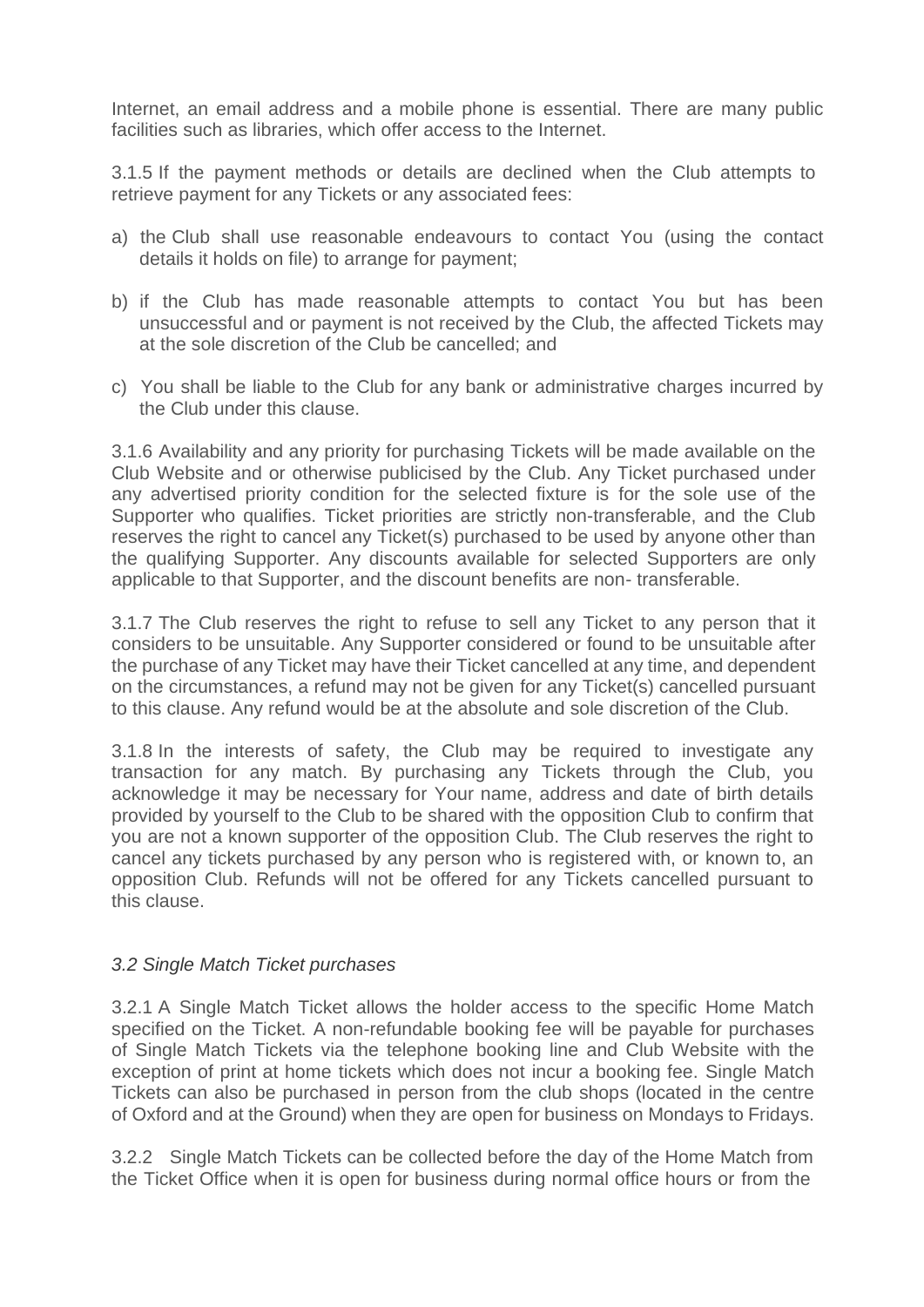Internet, an email address and a mobile phone is essential. There are many public facilities such as libraries, which offer access to the Internet.

3.1.5 If the payment methods or details are declined when the Club attempts to retrieve payment for any Tickets or any associated fees:

- a) the Club shall use reasonable endeavours to contact You (using the contact details it holds on file) to arrange for payment;
- b) if the Club has made reasonable attempts to contact You but has been unsuccessful and or payment is not received by the Club, the affected Tickets may at the sole discretion of the Club be cancelled; and
- c) You shall be liable to the Club for any bank or administrative charges incurred by the Club under this clause.

3.1.6 Availability and any priority for purchasing Tickets will be made available on the Club Website and or otherwise publicised by the Club. Any Ticket purchased under any advertised priority condition for the selected fixture is for the sole use of the Supporter who qualifies. Ticket priorities are strictly non-transferable, and the Club reserves the right to cancel any Ticket(s) purchased to be used by anyone other than the qualifying Supporter. Any discounts available for selected Supporters are only applicable to that Supporter, and the discount benefits are non- transferable.

3.1.7 The Club reserves the right to refuse to sell any Ticket to any person that it considers to be unsuitable. Any Supporter considered or found to be unsuitable after the purchase of any Ticket may have their Ticket cancelled at any time, and dependent on the circumstances, a refund may not be given for any Ticket(s) cancelled pursuant to this clause. Any refund would be at the absolute and sole discretion of the Club.

3.1.8 In the interests of safety, the Club may be required to investigate any transaction for any match. By purchasing any Tickets through the Club, you acknowledge it may be necessary for Your name, address and date of birth details provided by yourself to the Club to be shared with the opposition Club to confirm that you are not a known supporter of the opposition Club. The Club reserves the right to cancel any tickets purchased by any person who is registered with, or known to, an opposition Club. Refunds will not be offered for any Tickets cancelled pursuant to this clause.

#### *3.2 Single Match Ticket purchases*

3.2.1 A Single Match Ticket allows the holder access to the specific Home Match specified on the Ticket. A non-refundable booking fee will be payable for purchases of Single Match Tickets via the telephone booking line and Club Website with the exception of print at home tickets which does not incur a booking fee. Single Match Tickets can also be purchased in person from the club shops (located in the centre of Oxford and at the Ground) when they are open for business on Mondays to Fridays.

3.2.2 Single Match Tickets can be collected before the day of the Home Match from the Ticket Office when it is open for business during normal office hours or from the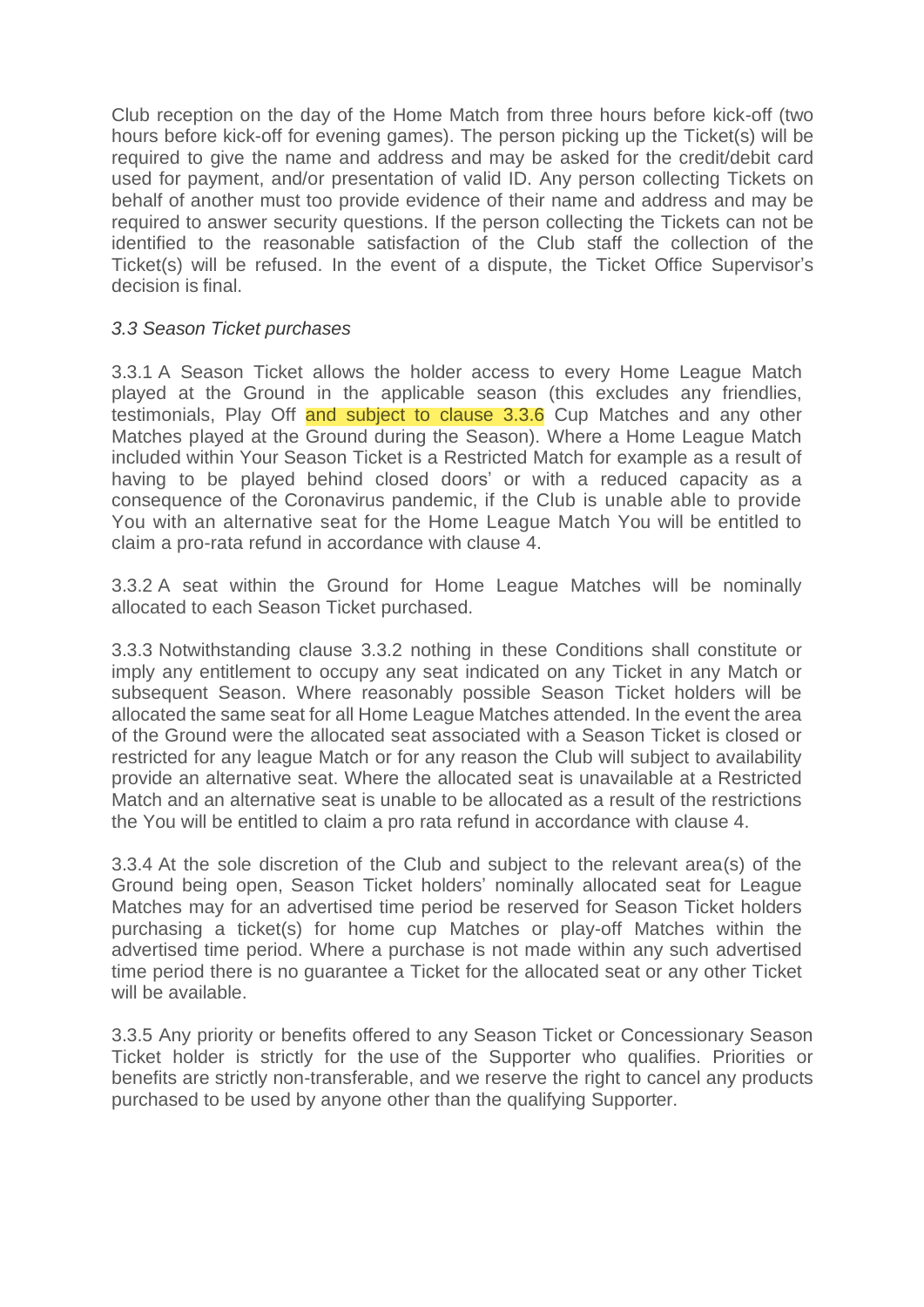Club reception on the day of the Home Match from three hours before kick-off (two hours before kick-off for evening games). The person picking up the Ticket(s) will be required to give the name and address and may be asked for the credit/debit card used for payment, and/or presentation of valid ID. Any person collecting Tickets on behalf of another must too provide evidence of their name and address and may be required to answer security questions. If the person collecting the Tickets can not be identified to the reasonable satisfaction of the Club staff the collection of the Ticket(s) will be refused. In the event of a dispute, the Ticket Office Supervisor's decision is final.

#### *3.3 Season Ticket purchases*

3.3.1 A Season Ticket allows the holder access to every Home League Match played at the Ground in the applicable season (this excludes any friendlies, testimonials, Play Off and subject to clause 3.3.6 Cup Matches and any other Matches played at the Ground during the Season). Where a Home League Match included within Your Season Ticket is a Restricted Match for example as a result of having to be played behind closed doors' or with a reduced capacity as a consequence of the Coronavirus pandemic, if the Club is unable able to provide You with an alternative seat for the Home League Match You will be entitled to claim a pro-rata refund in accordance with clause 4.

3.3.2 A seat within the Ground for Home League Matches will be nominally allocated to each Season Ticket purchased.

3.3.3 Notwithstanding clause 3.3.2 nothing in these Conditions shall constitute or imply any entitlement to occupy any seat indicated on any Ticket in any Match or subsequent Season. Where reasonably possible Season Ticket holders will be allocated the same seat for all Home League Matches attended. In the event the area of the Ground were the allocated seat associated with a Season Ticket is closed or restricted for any league Match or for any reason the Club will subject to availability provide an alternative seat. Where the allocated seat is unavailable at a Restricted Match and an alternative seat is unable to be allocated as a result of the restrictions the You will be entitled to claim a pro rata refund in accordance with clause 4.

3.3.4 At the sole discretion of the Club and subject to the relevant area(s) of the Ground being open, Season Ticket holders' nominally allocated seat for League Matches may for an advertised time period be reserved for Season Ticket holders purchasing a ticket(s) for home cup Matches or play-off Matches within the advertised time period. Where a purchase is not made within any such advertised time period there is no guarantee a Ticket for the allocated seat or any other Ticket will be available.

3.3.5 Any priority or benefits offered to any Season Ticket or Concessionary Season Ticket holder is strictly for the use of the Supporter who qualifies. Priorities or benefits are strictly non-transferable, and we reserve the right to cancel any products purchased to be used by anyone other than the qualifying Supporter.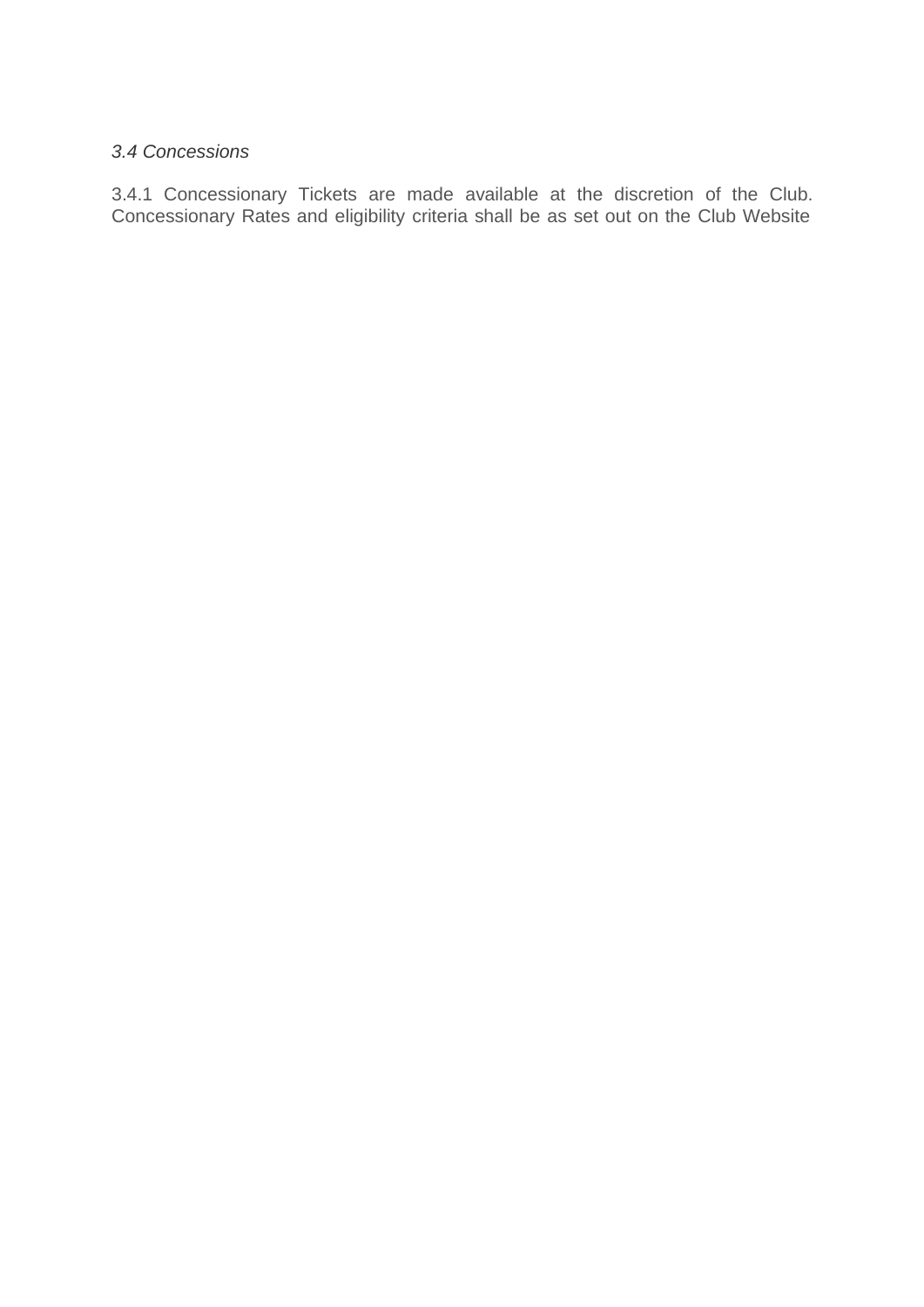### *3.4 Concessions*

3.4.1 Concessionary Tickets are made available at the discretion of the Club. Concessionary Rates and eligibility criteria shall be as set out on the Club Website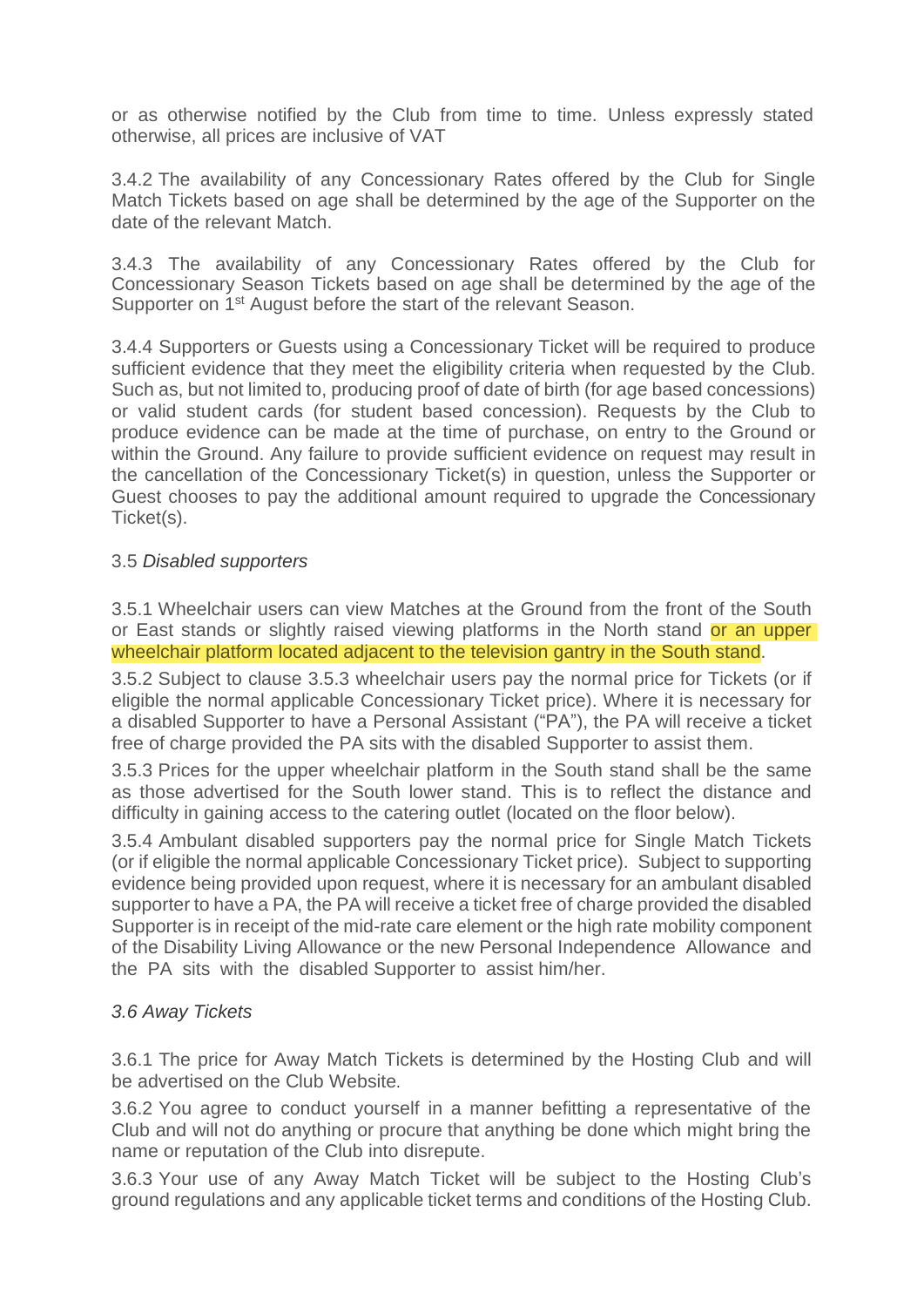or as otherwise notified by the Club from time to time. Unless expressly stated otherwise, all prices are inclusive of VAT

3.4.2 The availability of any Concessionary Rates offered by the Club for Single Match Tickets based on age shall be determined by the age of the Supporter on the date of the relevant Match.

3.4.3 The availability of any Concessionary Rates offered by the Club for Concessionary Season Tickets based on age shall be determined by the age of the Supporter on 1<sup>st</sup> August before the start of the relevant Season.

3.4.4 Supporters or Guests using a Concessionary Ticket will be required to produce sufficient evidence that they meet the eligibility criteria when requested by the Club. Such as, but not limited to, producing proof of date of birth (for age based concessions) or valid student cards (for student based concession). Requests by the Club to produce evidence can be made at the time of purchase, on entry to the Ground or within the Ground. Any failure to provide sufficient evidence on request may result in the cancellation of the Concessionary Ticket(s) in question, unless the Supporter or Guest chooses to pay the additional amount required to upgrade the Concessionary Ticket(s).

### 3.5 *Disabled supporters*

3.5.1 Wheelchair users can view Matches at the Ground from the front of the South or East stands or slightly raised viewing platforms in the North stand or an upper wheelchair platform located adjacent to the television gantry in the South stand.

3.5.2 Subject to clause 3.5.3 wheelchair users pay the normal price for Tickets (or if eligible the normal applicable Concessionary Ticket price). Where it is necessary for a disabled Supporter to have a Personal Assistant ("PA"), the PA will receive a ticket free of charge provided the PA sits with the disabled Supporter to assist them.

3.5.3 Prices for the upper wheelchair platform in the South stand shall be the same as those advertised for the South lower stand. This is to reflect the distance and difficulty in gaining access to the catering outlet (located on the floor below).

3.5.4 Ambulant disabled supporters pay the normal price for Single Match Tickets (or if eligible the normal applicable Concessionary Ticket price). Subject to supporting evidence being provided upon request, where it is necessary for an ambulant disabled supporter to have a PA, the PA will receive a ticket free of charge provided the disabled Supporter is in receipt of the mid-rate care element or the high rate mobility component of the Disability Living Allowance or the new Personal Independence Allowance and the PA sits with the disabled Supporter to assist him/her.

#### *3.6 Away Tickets*

3.6.1 The price for Away Match Tickets is determined by the Hosting Club and will be advertised on the Club Website.

3.6.2 You agree to conduct yourself in a manner befitting a representative of the Club and will not do anything or procure that anything be done which might bring the name or reputation of the Club into disrepute.

3.6.3 Your use of any Away Match Ticket will be subject to the Hosting Club's ground regulations and any applicable ticket terms and conditions of the Hosting Club.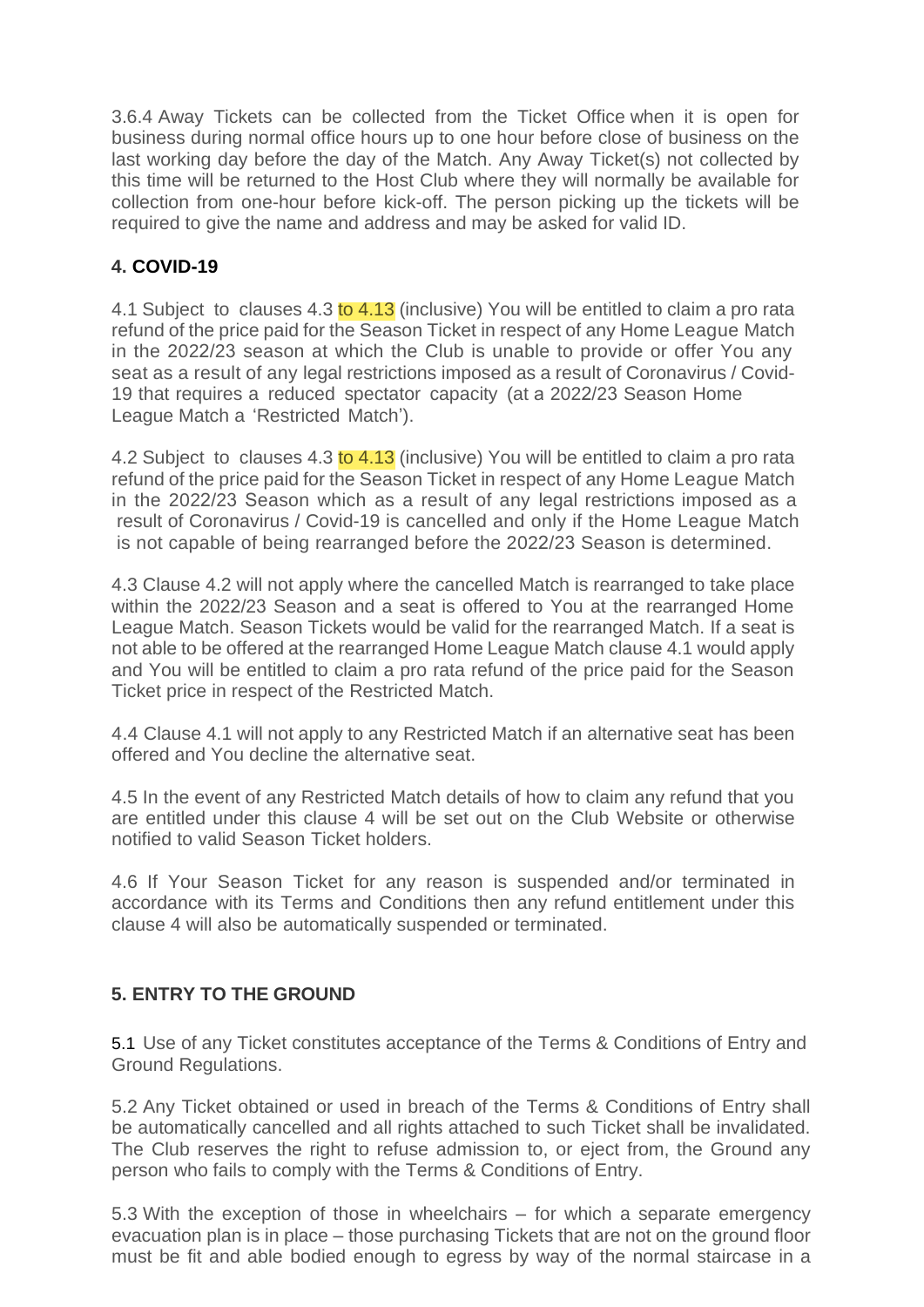3.6.4 Away Tickets can be collected from the Ticket Office when it is open for business during normal office hours up to one hour before close of business on the last working day before the day of the Match. Any Away Ticket(s) not collected by this time will be returned to the Host Club where they will normally be available for collection from one-hour before kick-off. The person picking up the tickets will be required to give the name and address and may be asked for valid ID.

# **4. COVID-19**

4.1 Subject to clauses 4.3 to 4.13 (inclusive) You will be entitled to claim a pro rata refund of the price paid for the Season Ticket in respect of any Home League Match in the 2022/23 season at which the Club is unable to provide or offer You any seat as a result of any legal restrictions imposed as a result of Coronavirus / Covid-19 that requires a reduced spectator capacity (at a 2022/23 Season Home League Match a 'Restricted Match').

4.2 Subject to clauses 4.3 to 4.13 (inclusive) You will be entitled to claim a pro rata refund of the price paid for the Season Ticket in respect of any Home League Match in the 2022/23 Season which as a result of any legal restrictions imposed as a result of Coronavirus / Covid-19 is cancelled and only if the Home League Match is not capable of being rearranged before the 2022/23 Season is determined.

4.3 Clause 4.2 will not apply where the cancelled Match is rearranged to take place within the 2022/23 Season and a seat is offered to You at the rearranged Home League Match. Season Tickets would be valid for the rearranged Match. If a seat is not able to be offered at the rearranged Home League Match clause 4.1 would apply and You will be entitled to claim a pro rata refund of the price paid for the Season Ticket price in respect of the Restricted Match.

4.4 Clause 4.1 will not apply to any Restricted Match if an alternative seat has been offered and You decline the alternative seat.

4.5 In the event of any Restricted Match details of how to claim any refund that you are entitled under this clause 4 will be set out on the Club Website or otherwise notified to valid Season Ticket holders.

4.6 If Your Season Ticket for any reason is suspended and/or terminated in accordance with its Terms and Conditions then any refund entitlement under this clause 4 will also be automatically suspended or terminated.

# **5. ENTRY TO THE GROUND**

5.1 Use of any Ticket constitutes acceptance of the Terms & Conditions of Entry and Ground Regulations.

5.2 Any Ticket obtained or used in breach of the Terms & Conditions of Entry shall be automatically cancelled and all rights attached to such Ticket shall be invalidated. The Club reserves the right to refuse admission to, or eject from, the Ground any person who fails to comply with the Terms & Conditions of Entry.

5.3 With the exception of those in wheelchairs – for which a separate emergency evacuation plan is in place – those purchasing Tickets that are not on the ground floor must be fit and able bodied enough to egress by way of the normal staircase in a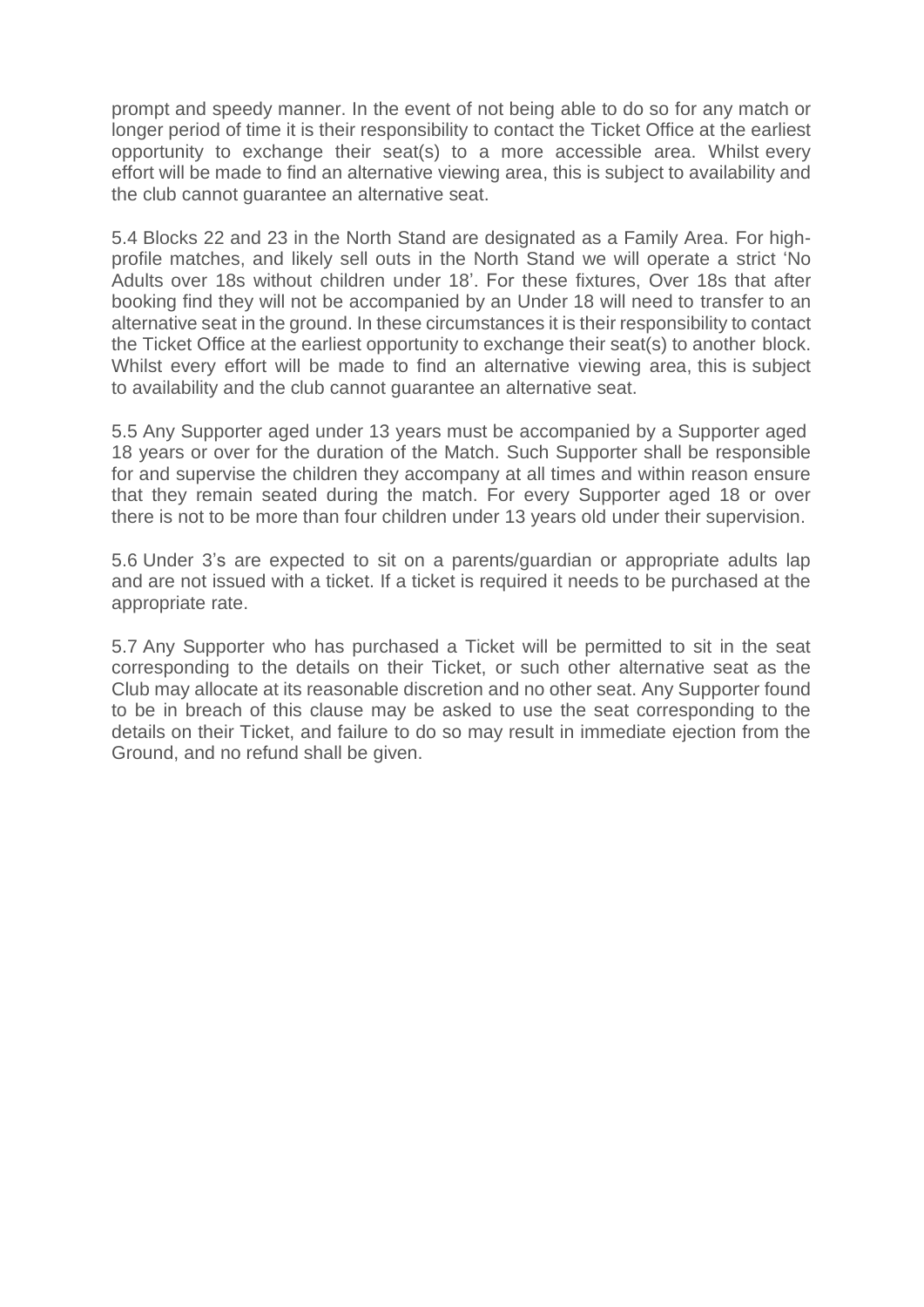prompt and speedy manner. In the event of not being able to do so for any match or longer period of time it is their responsibility to contact the Ticket Office at the earliest opportunity to exchange their seat(s) to a more accessible area. Whilst every effort will be made to find an alternative viewing area, this is subject to availability and the club cannot guarantee an alternative seat.

5.4 Blocks 22 and 23 in the North Stand are designated as a Family Area. For highprofile matches, and likely sell outs in the North Stand we will operate a strict 'No Adults over 18s without children under 18'. For these fixtures, Over 18s that after booking find they will not be accompanied by an Under 18 will need to transfer to an alternative seat in the ground. In these circumstances it is their responsibility to contact the Ticket Office at the earliest opportunity to exchange their seat(s) to another block. Whilst every effort will be made to find an alternative viewing area, this is subject to availability and the club cannot guarantee an alternative seat.

5.5 Any Supporter aged under 13 years must be accompanied by a Supporter aged 18 years or over for the duration of the Match. Such Supporter shall be responsible for and supervise the children they accompany at all times and within reason ensure that they remain seated during the match. For every Supporter aged 18 or over there is not to be more than four children under 13 years old under their supervision.

5.6 Under 3's are expected to sit on a parents/guardian or appropriate adults lap and are not issued with a ticket. If a ticket is required it needs to be purchased at the appropriate rate.

5.7 Any Supporter who has purchased a Ticket will be permitted to sit in the seat corresponding to the details on their Ticket, or such other alternative seat as the Club may allocate at its reasonable discretion and no other seat. Any Supporter found to be in breach of this clause may be asked to use the seat corresponding to the details on their Ticket, and failure to do so may result in immediate ejection from the Ground, and no refund shall be given.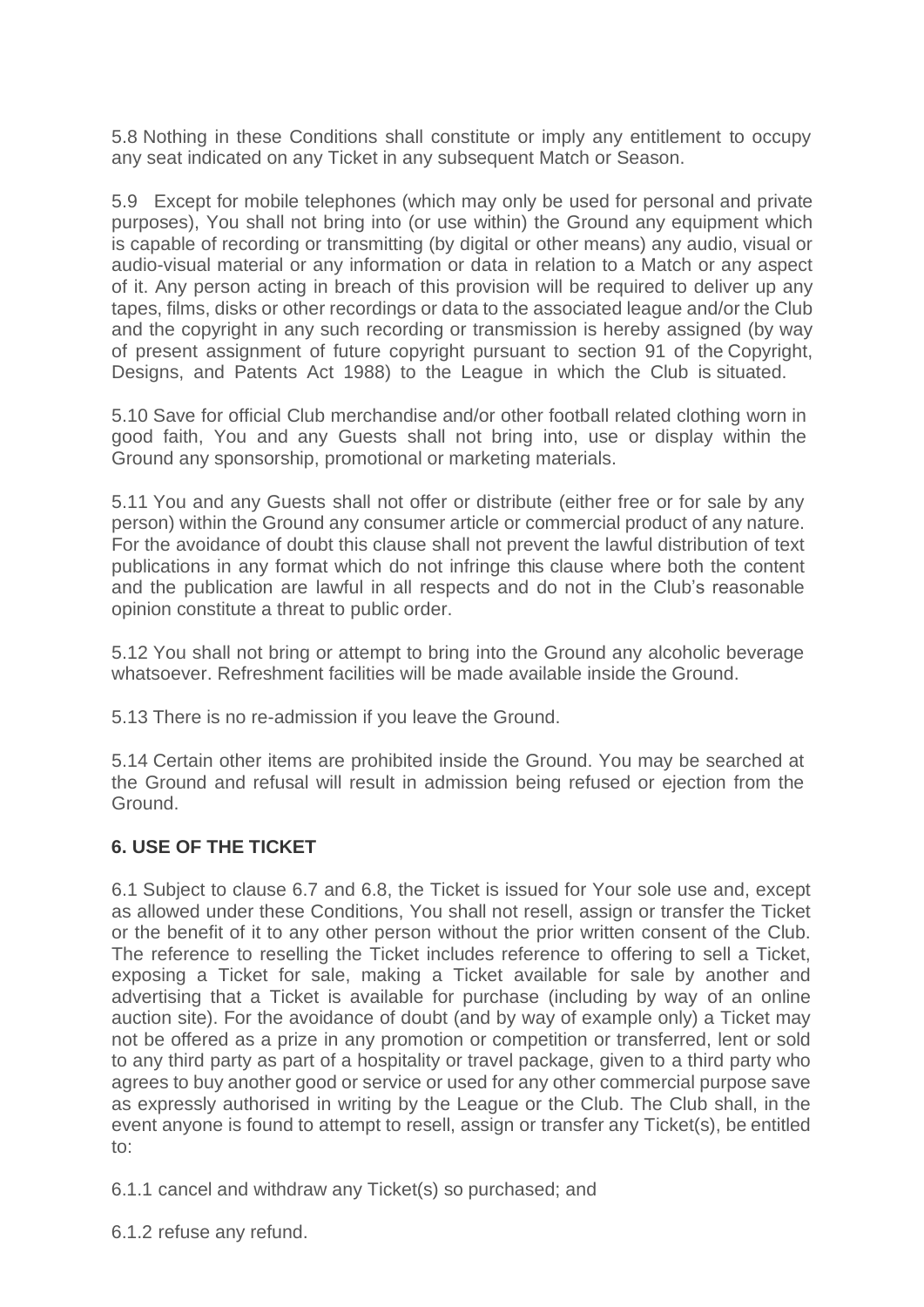5.8 Nothing in these Conditions shall constitute or imply any entitlement to occupy any seat indicated on any Ticket in any subsequent Match or Season.

5.9 Except for mobile telephones (which may only be used for personal and private purposes), You shall not bring into (or use within) the Ground any equipment which is capable of recording or transmitting (by digital or other means) any audio, visual or audio-visual material or any information or data in relation to a Match or any aspect of it. Any person acting in breach of this provision will be required to deliver up any tapes, films, disks or other recordings or data to the associated league and/or the Club and the copyright in any such recording or transmission is hereby assigned (by way of present assignment of future copyright pursuant to section 91 of the Copyright, Designs, and Patents Act 1988) to the League in which the Club is situated.

5.10 Save for official Club merchandise and/or other football related clothing worn in good faith, You and any Guests shall not bring into, use or display within the Ground any sponsorship, promotional or marketing materials.

5.11 You and any Guests shall not offer or distribute (either free or for sale by any person) within the Ground any consumer article or commercial product of any nature. For the avoidance of doubt this clause shall not prevent the lawful distribution of text publications in any format which do not infringe this clause where both the content and the publication are lawful in all respects and do not in the Club's reasonable opinion constitute a threat to public order.

5.12 You shall not bring or attempt to bring into the Ground any alcoholic beverage whatsoever. Refreshment facilities will be made available inside the Ground.

5.13 There is no re-admission if you leave the Ground.

5.14 Certain other items are prohibited inside the Ground. You may be searched at the Ground and refusal will result in admission being refused or ejection from the Ground.

# **6. USE OF THE TICKET**

6.1 Subject to clause 6.7 and 6.8, the Ticket is issued for Your sole use and, except as allowed under these Conditions, You shall not resell, assign or transfer the Ticket or the benefit of it to any other person without the prior written consent of the Club. The reference to reselling the Ticket includes reference to offering to sell a Ticket, exposing a Ticket for sale, making a Ticket available for sale by another and advertising that a Ticket is available for purchase (including by way of an online auction site). For the avoidance of doubt (and by way of example only) a Ticket may not be offered as a prize in any promotion or competition or transferred, lent or sold to any third party as part of a hospitality or travel package, given to a third party who agrees to buy another good or service or used for any other commercial purpose save as expressly authorised in writing by the League or the Club. The Club shall, in the event anyone is found to attempt to resell, assign or transfer any Ticket(s), be entitled to:

6.1.1 cancel and withdraw any Ticket(s) so purchased; and

6.1.2 refuse any refund.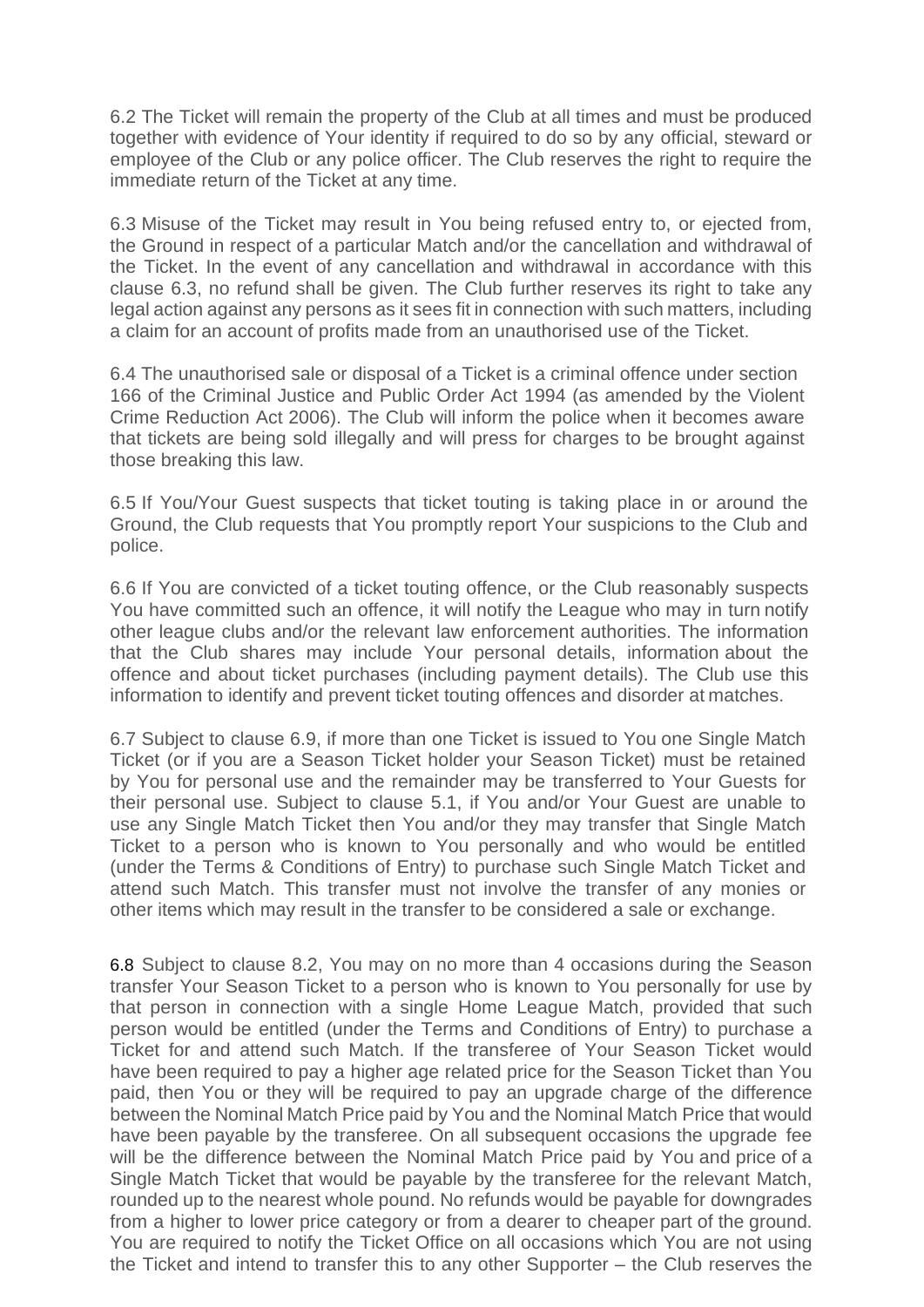6.2 The Ticket will remain the property of the Club at all times and must be produced together with evidence of Your identity if required to do so by any official, steward or employee of the Club or any police officer. The Club reserves the right to require the immediate return of the Ticket at any time.

6.3 Misuse of the Ticket may result in You being refused entry to, or ejected from, the Ground in respect of a particular Match and/or the cancellation and withdrawal of the Ticket. In the event of any cancellation and withdrawal in accordance with this clause 6.3, no refund shall be given. The Club further reserves its right to take any legal action against any persons as it sees fit in connection with such matters, including a claim for an account of profits made from an unauthorised use of the Ticket.

6.4 The unauthorised sale or disposal of a Ticket is a criminal offence under section 166 of the Criminal Justice and Public Order Act 1994 (as amended by the Violent Crime Reduction Act 2006). The Club will inform the police when it becomes aware that tickets are being sold illegally and will press for charges to be brought against those breaking this law.

6.5 If You/Your Guest suspects that ticket touting is taking place in or around the Ground, the Club requests that You promptly report Your suspicions to the Club and police.

6.6 If You are convicted of a ticket touting offence, or the Club reasonably suspects You have committed such an offence, it will notify the League who may in turn notify other league clubs and/or the relevant law enforcement authorities. The information that the Club shares may include Your personal details, information about the offence and about ticket purchases (including payment details). The Club use this information to identify and prevent ticket touting offences and disorder at matches.

6.7 Subject to clause 6.9, if more than one Ticket is issued to You one Single Match Ticket (or if you are a Season Ticket holder your Season Ticket) must be retained by You for personal use and the remainder may be transferred to Your Guests for their personal use. Subject to clause 5.1, if You and/or Your Guest are unable to use any Single Match Ticket then You and/or they may transfer that Single Match Ticket to a person who is known to You personally and who would be entitled (under the Terms & Conditions of Entry) to purchase such Single Match Ticket and attend such Match. This transfer must not involve the transfer of any monies or other items which may result in the transfer to be considered a sale or exchange.

6.8 Subject to clause 8.2, You may on no more than 4 occasions during the Season transfer Your Season Ticket to a person who is known to You personally for use by that person in connection with a single Home League Match, provided that such person would be entitled (under the Terms and Conditions of Entry) to purchase a Ticket for and attend such Match. If the transferee of Your Season Ticket would have been required to pay a higher age related price for the Season Ticket than You paid, then You or they will be required to pay an upgrade charge of the difference between the Nominal Match Price paid by You and the Nominal Match Price that would have been payable by the transferee. On all subsequent occasions the upgrade fee will be the difference between the Nominal Match Price paid by You and price of a Single Match Ticket that would be payable by the transferee for the relevant Match, rounded up to the nearest whole pound. No refunds would be payable for downgrades from a higher to lower price category or from a dearer to cheaper part of the ground. You are required to notify the Ticket Office on all occasions which You are not using the Ticket and intend to transfer this to any other Supporter – the Club reserves the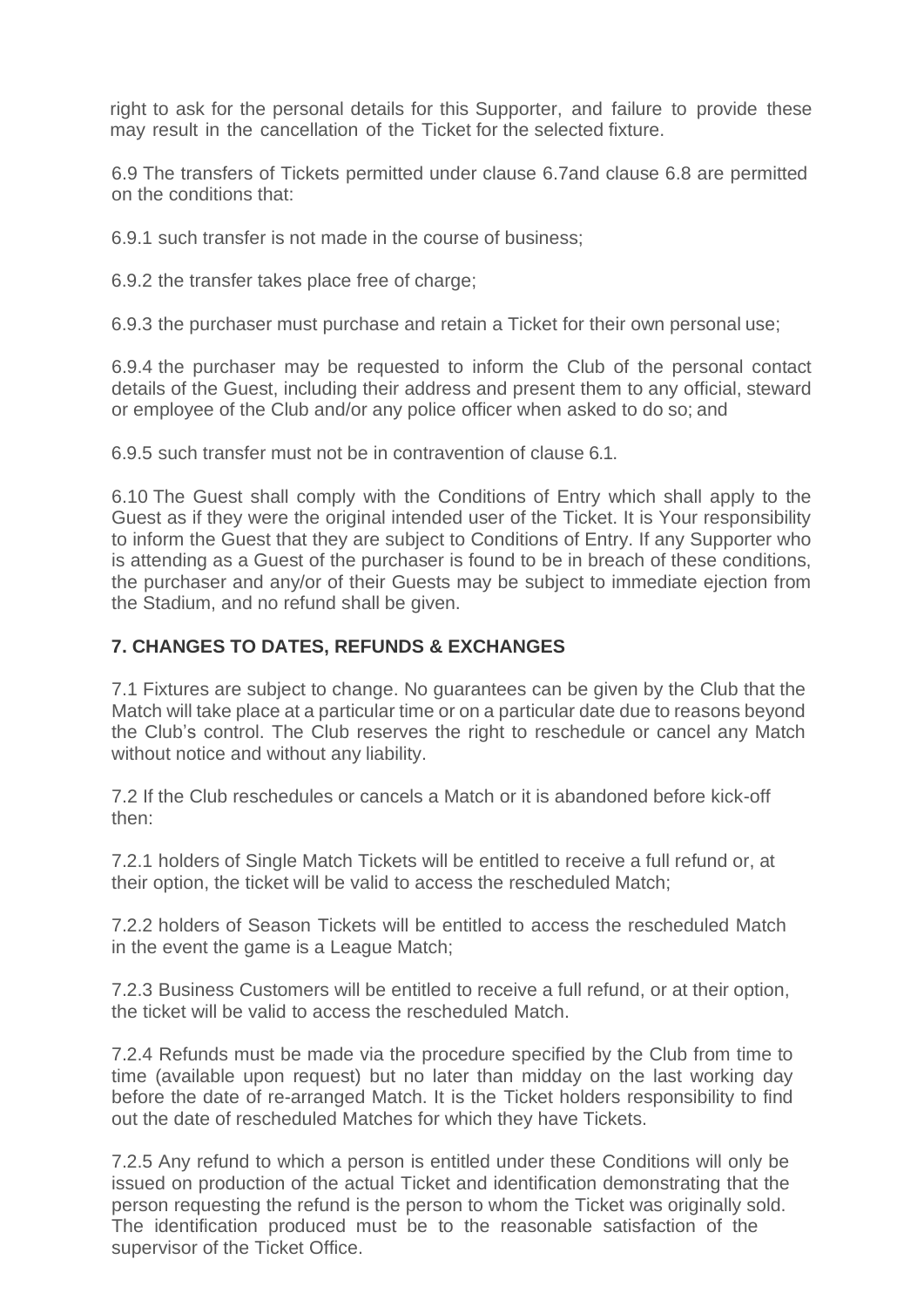right to ask for the personal details for this Supporter, and failure to provide these may result in the cancellation of the Ticket for the selected fixture.

6.9 The transfers of Tickets permitted under clause 6.7and clause 6.8 are permitted on the conditions that:

6.9.1 such transfer is not made in the course of business;

6.9.2 the transfer takes place free of charge;

6.9.3 the purchaser must purchase and retain a Ticket for their own personal use;

6.9.4 the purchaser may be requested to inform the Club of the personal contact details of the Guest, including their address and present them to any official, steward or employee of the Club and/or any police officer when asked to do so; and

6.9.5 such transfer must not be in contravention of clause 6.1.

6.10 The Guest shall comply with the Conditions of Entry which shall apply to the Guest as if they were the original intended user of the Ticket. It is Your responsibility to inform the Guest that they are subject to Conditions of Entry. If any Supporter who is attending as a Guest of the purchaser is found to be in breach of these conditions, the purchaser and any/or of their Guests may be subject to immediate ejection from the Stadium, and no refund shall be given.

### **7. CHANGES TO DATES, REFUNDS & EXCHANGES**

7.1 Fixtures are subject to change. No guarantees can be given by the Club that the Match will take place at a particular time or on a particular date due to reasons beyond the Club's control. The Club reserves the right to reschedule or cancel any Match without notice and without any liability.

7.2 If the Club reschedules or cancels a Match or it is abandoned before kick-off then:

7.2.1 holders of Single Match Tickets will be entitled to receive a full refund or, at their option, the ticket will be valid to access the rescheduled Match;

7.2.2 holders of Season Tickets will be entitled to access the rescheduled Match in the event the game is a League Match;

7.2.3 Business Customers will be entitled to receive a full refund, or at their option, the ticket will be valid to access the rescheduled Match.

7.2.4 Refunds must be made via the procedure specified by the Club from time to time (available upon request) but no later than midday on the last working day before the date of re-arranged Match. It is the Ticket holders responsibility to find out the date of rescheduled Matches for which they have Tickets.

7.2.5 Any refund to which a person is entitled under these Conditions will only be issued on production of the actual Ticket and identification demonstrating that the person requesting the refund is the person to whom the Ticket was originally sold. The identification produced must be to the reasonable satisfaction of the supervisor of the Ticket Office.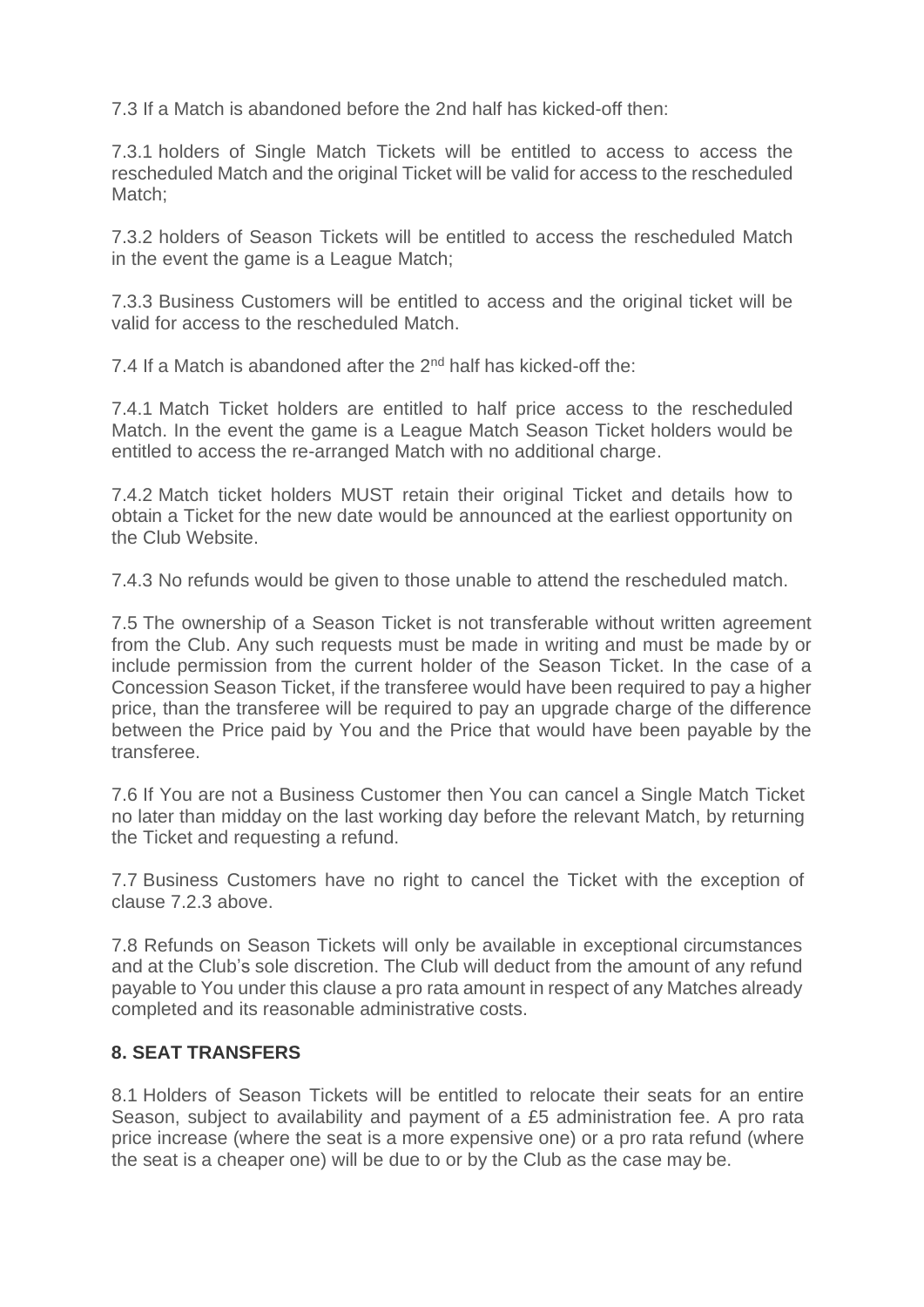7.3 If a Match is abandoned before the 2nd half has kicked-off then:

7.3.1 holders of Single Match Tickets will be entitled to access to access the rescheduled Match and the original Ticket will be valid for access to the rescheduled Match:

7.3.2 holders of Season Tickets will be entitled to access the rescheduled Match in the event the game is a League Match;

7.3.3 Business Customers will be entitled to access and the original ticket will be valid for access to the rescheduled Match.

7.4 If a Match is abandoned after the 2<sup>nd</sup> half has kicked-off the:

7.4.1 Match Ticket holders are entitled to half price access to the rescheduled Match. In the event the game is a League Match Season Ticket holders would be entitled to access the re-arranged Match with no additional charge.

7.4.2 Match ticket holders MUST retain their original Ticket and details how to obtain a Ticket for the new date would be announced at the earliest opportunity on the Club Website.

7.4.3 No refunds would be given to those unable to attend the rescheduled match.

7.5 The ownership of a Season Ticket is not transferable without written agreement from the Club. Any such requests must be made in writing and must be made by or include permission from the current holder of the Season Ticket. In the case of a Concession Season Ticket, if the transferee would have been required to pay a higher price, than the transferee will be required to pay an upgrade charge of the difference between the Price paid by You and the Price that would have been payable by the transferee.

7.6 If You are not a Business Customer then You can cancel a Single Match Ticket no later than midday on the last working day before the relevant Match, by returning the Ticket and requesting a refund.

7.7 Business Customers have no right to cancel the Ticket with the exception of clause 7.2.3 above.

7.8 Refunds on Season Tickets will only be available in exceptional circumstances and at the Club's sole discretion. The Club will deduct from the amount of any refund payable to You under this clause a pro rata amount in respect of any Matches already completed and its reasonable administrative costs.

# **8. SEAT TRANSFERS**

8.1 Holders of Season Tickets will be entitled to relocate their seats for an entire Season, subject to availability and payment of a £5 administration fee. A pro rata price increase (where the seat is a more expensive one) or a pro rata refund (where the seat is a cheaper one) will be due to or by the Club as the case may be.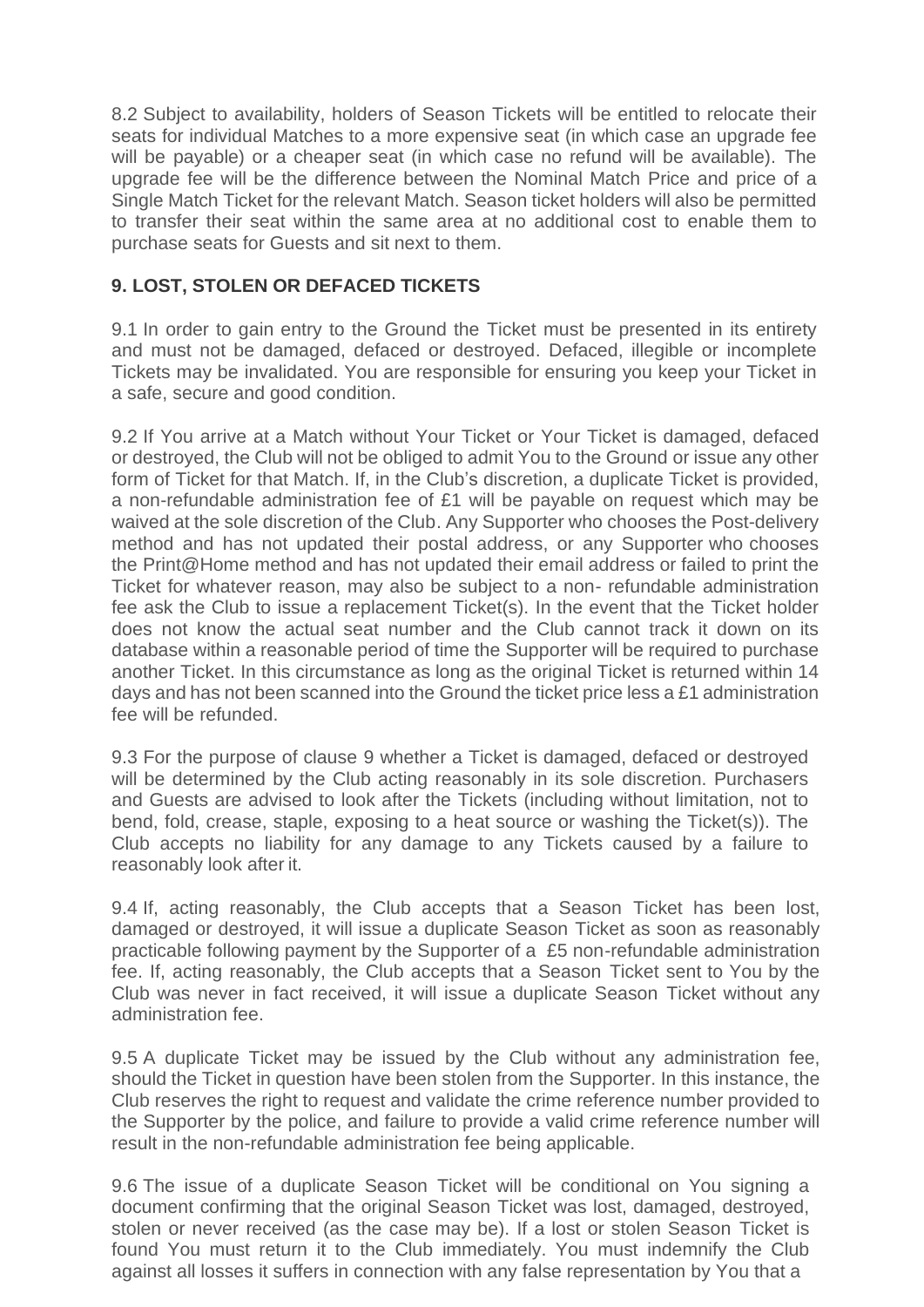8.2 Subject to availability, holders of Season Tickets will be entitled to relocate their seats for individual Matches to a more expensive seat (in which case an upgrade fee will be payable) or a cheaper seat (in which case no refund will be available). The upgrade fee will be the difference between the Nominal Match Price and price of a Single Match Ticket for the relevant Match. Season ticket holders will also be permitted to transfer their seat within the same area at no additional cost to enable them to purchase seats for Guests and sit next to them.

# **9. LOST, STOLEN OR DEFACED TICKETS**

9.1 In order to gain entry to the Ground the Ticket must be presented in its entirety and must not be damaged, defaced or destroyed. Defaced, illegible or incomplete Tickets may be invalidated. You are responsible for ensuring you keep your Ticket in a safe, secure and good condition.

9.2 If You arrive at a Match without Your Ticket or Your Ticket is damaged, defaced or destroyed, the Club will not be obliged to admit You to the Ground or issue any other form of Ticket for that Match. If, in the Club's discretion, a duplicate Ticket is provided, a non-refundable administration fee of £1 will be payable on request which may be waived at the sole discretion of the Club. Any Supporter who chooses the Post-delivery method and has not updated their postal address, or any Supporter who chooses the Print@Home method and has not updated their email address or failed to print the Ticket for whatever reason, may also be subject to a non- refundable administration fee ask the Club to issue a replacement Ticket(s). In the event that the Ticket holder does not know the actual seat number and the Club cannot track it down on its database within a reasonable period of time the Supporter will be required to purchase another Ticket. In this circumstance as long as the original Ticket is returned within 14 days and has not been scanned into the Ground the ticket price less a £1 administration fee will be refunded.

9.3 For the purpose of clause 9 whether a Ticket is damaged, defaced or destroyed will be determined by the Club acting reasonably in its sole discretion. Purchasers and Guests are advised to look after the Tickets (including without limitation, not to bend, fold, crease, staple, exposing to a heat source or washing the Ticket(s)). The Club accepts no liability for any damage to any Tickets caused by a failure to reasonably look after it.

9.4 If, acting reasonably, the Club accepts that a Season Ticket has been lost, damaged or destroyed, it will issue a duplicate Season Ticket as soon as reasonably practicable following payment by the Supporter of a £5 non-refundable administration fee. If, acting reasonably, the Club accepts that a Season Ticket sent to You by the Club was never in fact received, it will issue a duplicate Season Ticket without any administration fee.

9.5 A duplicate Ticket may be issued by the Club without any administration fee, should the Ticket in question have been stolen from the Supporter. In this instance, the Club reserves the right to request and validate the crime reference number provided to the Supporter by the police, and failure to provide a valid crime reference number will result in the non-refundable administration fee being applicable.

9.6 The issue of a duplicate Season Ticket will be conditional on You signing a document confirming that the original Season Ticket was lost, damaged, destroyed, stolen or never received (as the case may be). If a lost or stolen Season Ticket is found You must return it to the Club immediately. You must indemnify the Club against all losses it suffers in connection with any false representation by You that a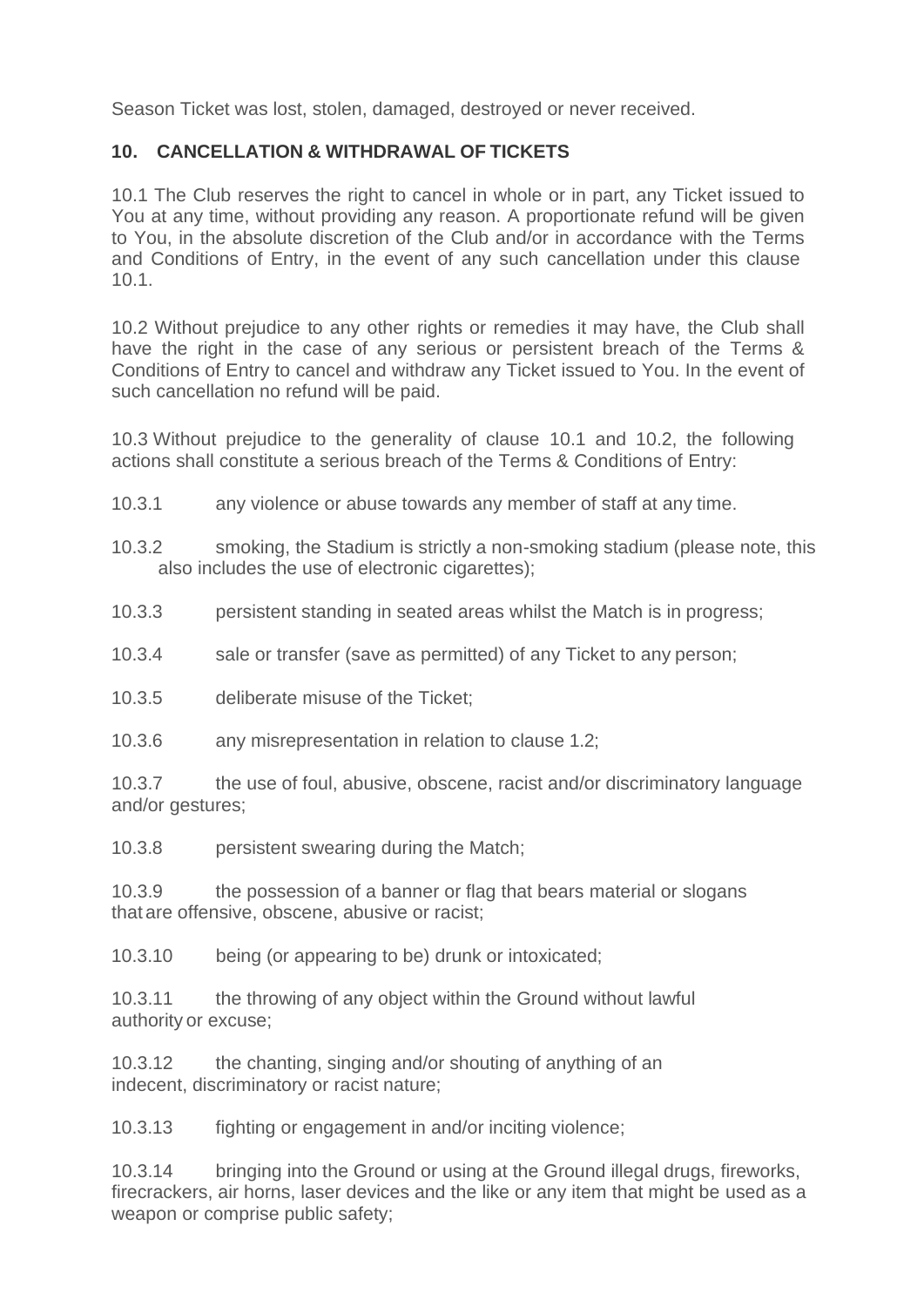Season Ticket was lost, stolen, damaged, destroyed or never received.

# **10. CANCELLATION & WITHDRAWAL OF TICKETS**

10.1 The Club reserves the right to cancel in whole or in part, any Ticket issued to You at any time, without providing any reason. A proportionate refund will be given to You, in the absolute discretion of the Club and/or in accordance with the Terms and Conditions of Entry, in the event of any such cancellation under this clause 10.1.

10.2 Without prejudice to any other rights or remedies it may have, the Club shall have the right in the case of any serious or persistent breach of the Terms & Conditions of Entry to cancel and withdraw any Ticket issued to You. In the event of such cancellation no refund will be paid.

10.3 Without prejudice to the generality of clause 10.1 and 10.2, the following actions shall constitute a serious breach of the Terms & Conditions of Entry:

- 10.3.1 any violence or abuse towards any member of staff at any time.
- 10.3.2 smoking, the Stadium is strictly a non-smoking stadium (please note, this also includes the use of electronic cigarettes);
- 10.3.3 persistent standing in seated areas whilst the Match is in progress;
- 10.3.4 sale or transfer (save as permitted) of any Ticket to any person;
- 10.3.5 deliberate misuse of the Ticket;
- 10.3.6 any misrepresentation in relation to clause 1.2;

10.3.7 the use of foul, abusive, obscene, racist and/or discriminatory language and/or gestures;

10.3.8 persistent swearing during the Match;

10.3.9 the possession of a banner or flag that bears material or slogans that are offensive, obscene, abusive or racist;

10.3.10 being (or appearing to be) drunk or intoxicated;

10.3.11 the throwing of any object within the Ground without lawful authority or excuse;

10.3.12 the chanting, singing and/or shouting of anything of an indecent, discriminatory or racist nature;

10.3.13 fighting or engagement in and/or inciting violence;

10.3.14 bringing into the Ground or using at the Ground illegal drugs, fireworks, firecrackers, air horns, laser devices and the like or any item that might be used as a weapon or comprise public safety;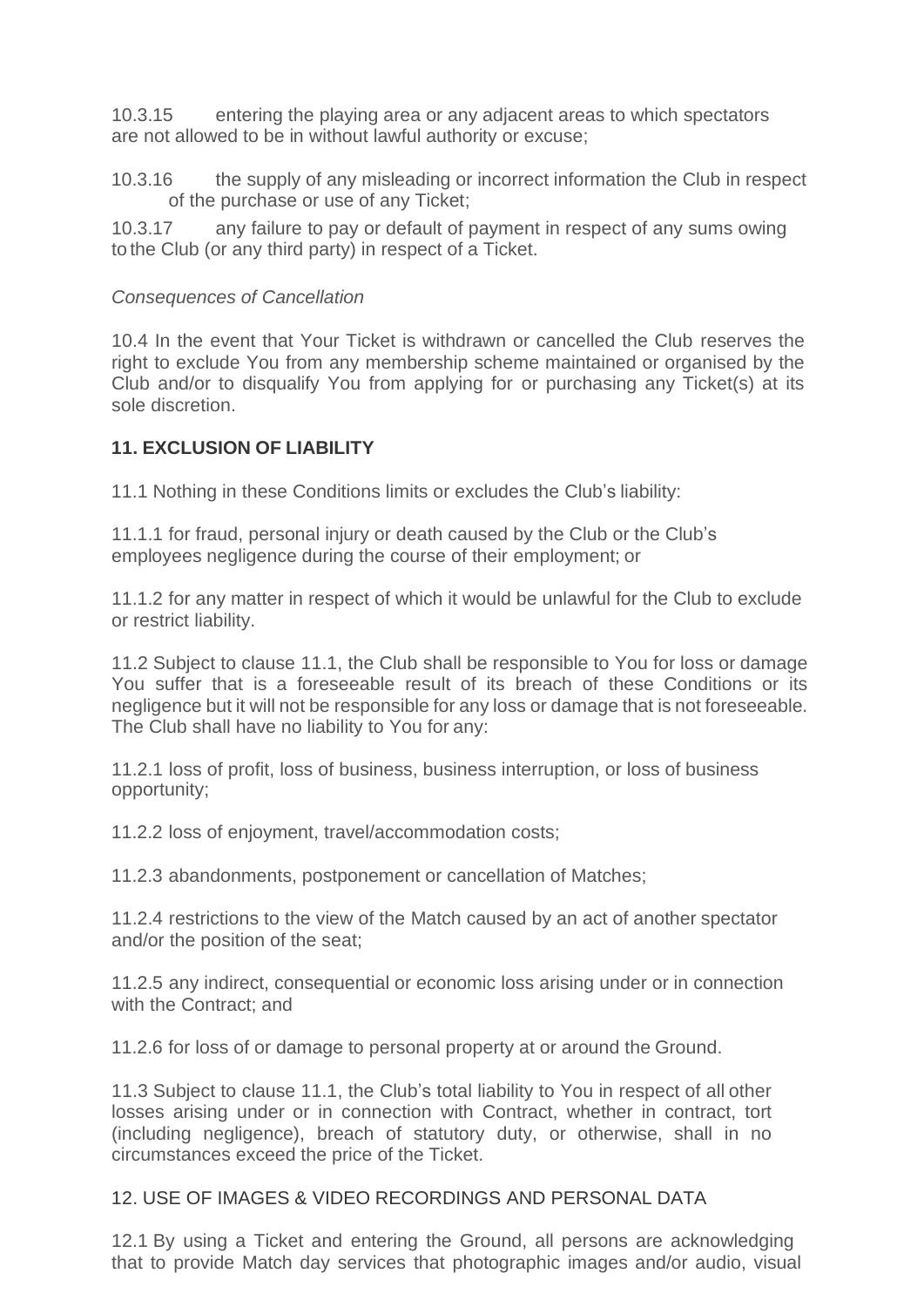10.3.15 entering the playing area or any adjacent areas to which spectators are not allowed to be in without lawful authority or excuse;

10.3.16 the supply of any misleading or incorrect information the Club in respect of the purchase or use of any Ticket;

10.3.17 any failure to pay or default of payment in respect of any sums owing to the Club (or any third party) in respect of a Ticket.

#### *Consequences of Cancellation*

10.4 In the event that Your Ticket is withdrawn or cancelled the Club reserves the right to exclude You from any membership scheme maintained or organised by the Club and/or to disqualify You from applying for or purchasing any Ticket(s) at its sole discretion.

### **11. EXCLUSION OF LIABILITY**

11.1 Nothing in these Conditions limits or excludes the Club's liability:

11.1.1 for fraud, personal injury or death caused by the Club or the Club's employees negligence during the course of their employment; or

11.1.2 for any matter in respect of which it would be unlawful for the Club to exclude or restrict liability.

11.2 Subject to clause 11.1, the Club shall be responsible to You for loss or damage You suffer that is a foreseeable result of its breach of these Conditions or its negligence but it will not be responsible for any loss or damage that is not foreseeable. The Club shall have no liability to You for any:

11.2.1 loss of profit, loss of business, business interruption, or loss of business opportunity;

11.2.2 loss of enjoyment, travel/accommodation costs;

11.2.3 abandonments, postponement or cancellation of Matches;

11.2.4 restrictions to the view of the Match caused by an act of another spectator and/or the position of the seat;

11.2.5 any indirect, consequential or economic loss arising under or in connection with the Contract; and

11.2.6 for loss of or damage to personal property at or around the Ground.

11.3 Subject to clause 11.1, the Club's total liability to You in respect of all other losses arising under or in connection with Contract, whether in contract, tort (including negligence), breach of statutory duty, or otherwise, shall in no circumstances exceed the price of the Ticket.

#### 12. USE OF IMAGES & VIDEO RECORDINGS AND PERSONAL DATA

12.1 By using a Ticket and entering the Ground, all persons are acknowledging that to provide Match day services that photographic images and/or audio, visual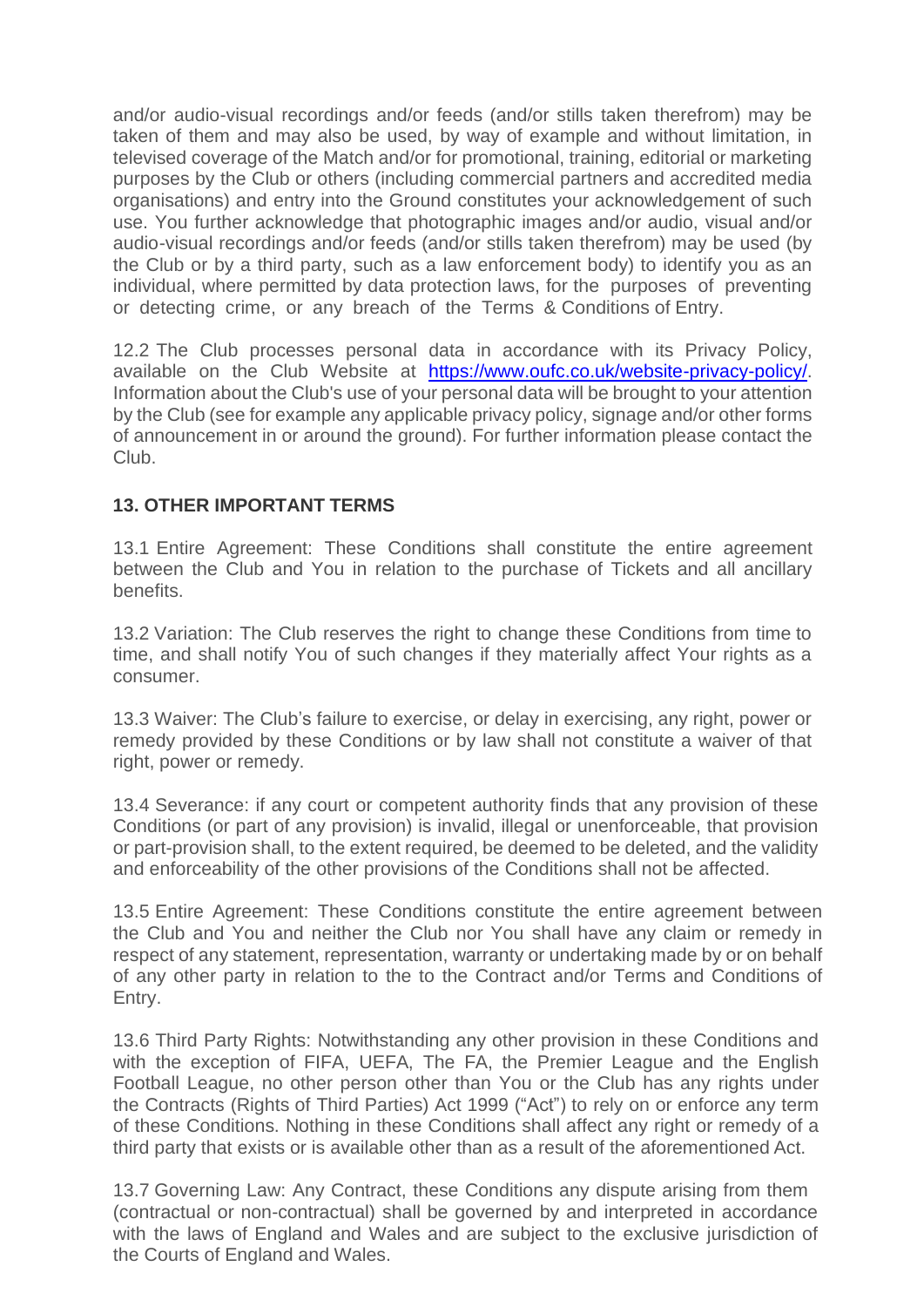and/or audio-visual recordings and/or feeds (and/or stills taken therefrom) may be taken of them and may also be used, by way of example and without limitation, in televised coverage of the Match and/or for promotional, training, editorial or marketing purposes by the Club or others (including commercial partners and accredited media organisations) and entry into the Ground constitutes your acknowledgement of such use. You further acknowledge that photographic images and/or audio, visual and/or audio-visual recordings and/or feeds (and/or stills taken therefrom) may be used (by the Club or by a third party, such as a law enforcement body) to identify you as an individual, where permitted by data protection laws, for the purposes of preventing or detecting crime, or any breach of the Terms & Conditions of Entry.

12.2 The Club processes personal data in accordance with its Privacy Policy, available on the Club Website at https://www.oufc.co.uk/website-privacy-policy/. Information about the Club's use of your personal data will be brought to your attention by the Club (see for example any applicable privacy policy, signage and/or other forms of announcement in or around the ground). For further information please contact the Club.

# **13. OTHER IMPORTANT TERMS**

13.1 Entire Agreement: These Conditions shall constitute the entire agreement between the Club and You in relation to the purchase of Tickets and all ancillary benefits.

13.2 Variation: The Club reserves the right to change these Conditions from time to time, and shall notify You of such changes if they materially affect Your rights as a consumer.

13.3 Waiver: The Club's failure to exercise, or delay in exercising, any right, power or remedy provided by these Conditions or by law shall not constitute a waiver of that right, power or remedy.

13.4 Severance: if any court or competent authority finds that any provision of these Conditions (or part of any provision) is invalid, illegal or unenforceable, that provision or part-provision shall, to the extent required, be deemed to be deleted, and the validity and enforceability of the other provisions of the Conditions shall not be affected.

13.5 Entire Agreement: These Conditions constitute the entire agreement between the Club and You and neither the Club nor You shall have any claim or remedy in respect of any statement, representation, warranty or undertaking made by or on behalf of any other party in relation to the to the Contract and/or Terms and Conditions of Entry.

13.6 Third Party Rights: Notwithstanding any other provision in these Conditions and with the exception of FIFA, UEFA, The FA, the Premier League and the English Football League, no other person other than You or the Club has any rights under the Contracts (Rights of Third Parties) Act 1999 ("Act") to rely on or enforce any term of these Conditions. Nothing in these Conditions shall affect any right or remedy of a third party that exists or is available other than as a result of the aforementioned Act.

13.7 Governing Law: Any Contract, these Conditions any dispute arising from them (contractual or non-contractual) shall be governed by and interpreted in accordance with the laws of England and Wales and are subject to the exclusive jurisdiction of the Courts of England and Wales.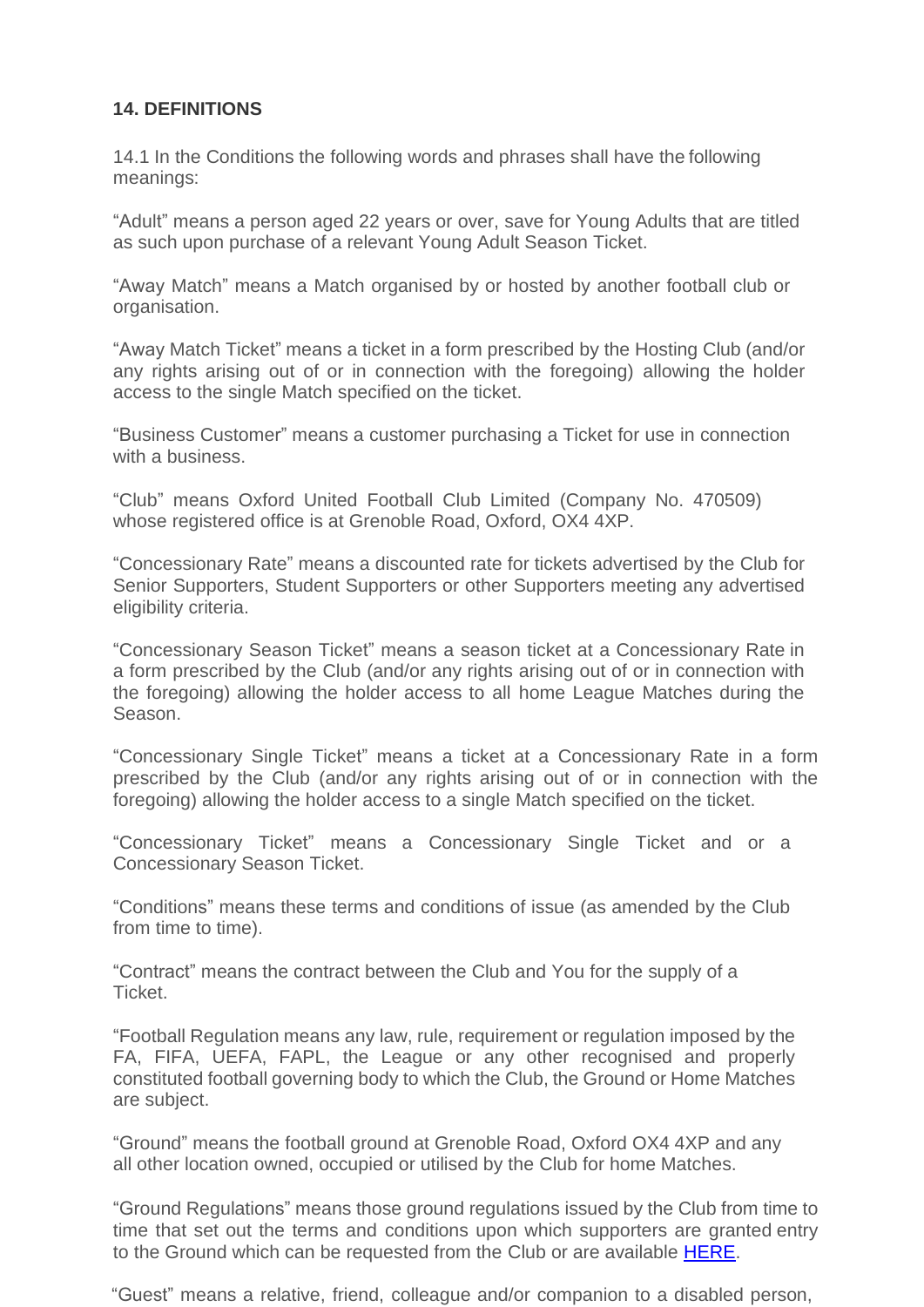# **14. DEFINITIONS**

14.1 In the Conditions the following words and phrases shall have the following meanings:

"Adult" means a person aged 22 years or over, save for Young Adults that are titled as such upon purchase of a relevant Young Adult Season Ticket.

"Away Match" means a Match organised by or hosted by another football club or organisation.

"Away Match Ticket" means a ticket in a form prescribed by the Hosting Club (and/or any rights arising out of or in connection with the foregoing) allowing the holder access to the single Match specified on the ticket.

"Business Customer" means a customer purchasing a Ticket for use in connection with a business.

"Club" means Oxford United Football Club Limited (Company No. 470509) whose registered office is at Grenoble Road, Oxford, OX4 4XP.

"Concessionary Rate" means a discounted rate for tickets advertised by the Club for Senior Supporters, Student Supporters or other Supporters meeting any advertised eligibility criteria.

"Concessionary Season Ticket" means a season ticket at a Concessionary Rate in a form prescribed by the Club (and/or any rights arising out of or in connection with the foregoing) allowing the holder access to all home League Matches during the Season.

"Concessionary Single Ticket" means a ticket at a Concessionary Rate in a form prescribed by the Club (and/or any rights arising out of or in connection with the foregoing) allowing the holder access to a single Match specified on the ticket.

"Concessionary Ticket" means a Concessionary Single Ticket and or a Concessionary Season Ticket.

"Conditions" means these terms and conditions of issue (as amended by the Club from time to time).

"Contract" means the contract between the Club and You for the supply of a Ticket.

"Football Regulation means any law, rule, requirement or regulation imposed by the FA, FIFA, UEFA, FAPL, the League or any other recognised and properly constituted football governing body to which the Club, the Ground or Home Matches are subject.

"Ground" means the football ground at Grenoble Road, Oxford OX4 4XP and any all other location owned, occupied or utilised by the Club for home Matches.

"Ground Regulations" means those ground regulations issued by the Club from time to time that set out the terms and conditions upon which supporters are granted entry to the Ground which can be requested from the Club or are available **HERE**.

"Guest" means a relative, friend, colleague and/or companion to a disabled person,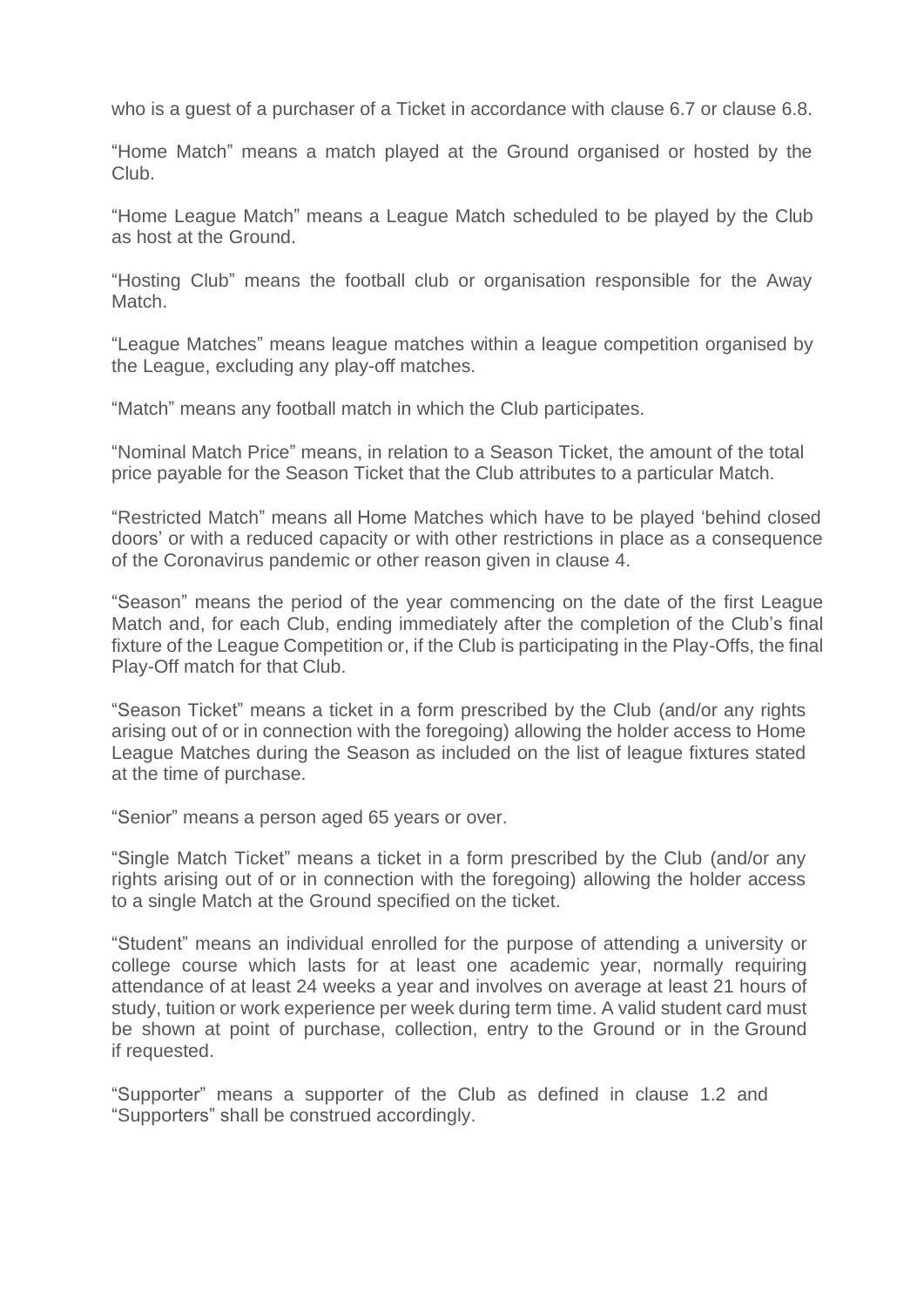who is a guest of a purchaser of a Ticket in accordance with clause 6.7 or clause 6.8.

"Home Match" means a match played at the Ground organised or hosted by the Club.

"Home League Match" means a League Match scheduled to be played by the Club as host at the Ground.

"Hosting Club" means the football club or organisation responsible for the Away Match.

"League Matches" means league matches within a league competition organised by the League, excluding any play-off matches.

"Match" means any football match in which the Club participates.

"Nominal Match Price" means, in relation to a Season Ticket, the amount of the total price payable for the Season Ticket that the Club attributes to a particular Match.

"Restricted Match" means all Home Matches which have to be played 'behind closed doors' or with a reduced capacity or with other restrictions in place as a consequence of the Coronavirus pandemic or other reason given in clause 4.

"Season" means the period of the year commencing on the date of the first League Match and, for each Club, ending immediately after the completion of the Club's final fixture of the League Competition or, if the Club is participating in the Play-Offs, the final Play-Off match for that Club.

"Season Ticket" means a ticket in a form prescribed by the Club (and/or any rights arising out of or in connection with the foregoing) allowing the holder access to Home League Matches during the Season as included on the list of league fixtures stated at the time of purchase.

"Senior" means a person aged 65 years or over.

"Single Match Ticket" means a ticket in a form prescribed by the Club (and/or any rights arising out of or in connection with the foregoing) allowing the holder access to a single Match at the Ground specified on the ticket.

"Student" means an individual enrolled for the purpose of attending a university or college course which lasts for at least one academic year, normally requiring attendance of at least 24 weeks a year and involves on average at least 21 hours of study, tuition or work experience per week during term time. A valid student card must be shown at point of purchase, collection, entry to the Ground or in the Ground if requested.

"Supporter" means a supporter of the Club as defined in clause 1.2 and "Supporters" shall be construed accordingly.